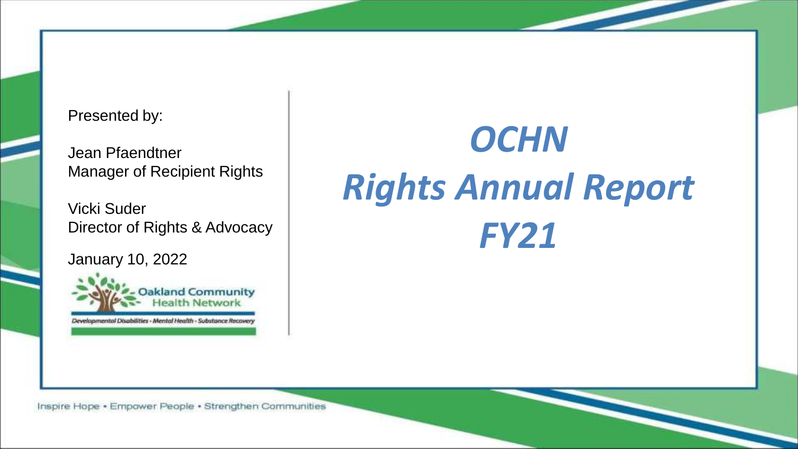#### Presented by:

Jean Pfaendtner Manager of Recipient Rights

Vicki Suder Director of Rights & Advocacy

January 10, 2022



Developmental Disabilities - Mental Health - Substance Recover,

# *OCHN Rights Annual Report FY21*

Inspire Hope . Empower People . Strengthen Communities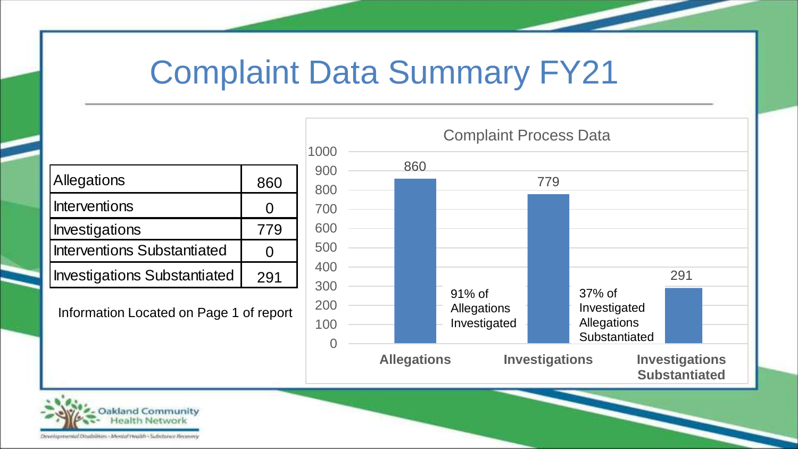#### Complaint Data Summary FY21

| Allegations                         | 860 |
|-------------------------------------|-----|
| Interventions                       | 0   |
| Investigations                      | 779 |
| <b>Interventions Substantiated</b>  | 0   |
| <b>Investigations Substantiated</b> | 291 |

Information Located on Page 1 of report



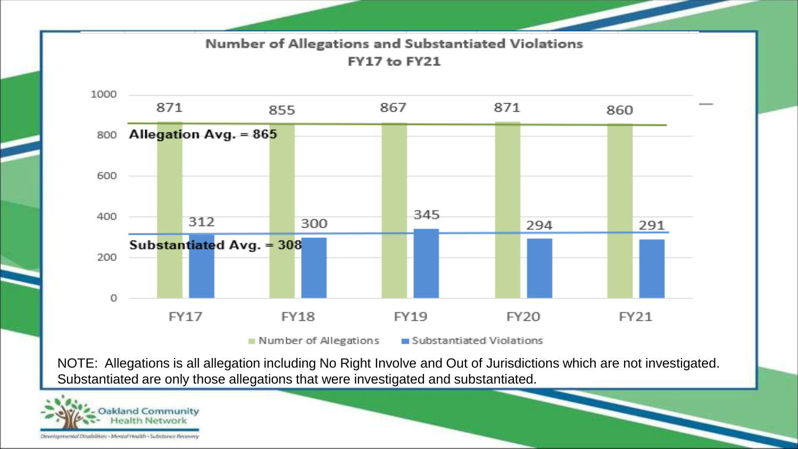

NOTE: Allegations is all allegation including No Right Involve and Out of Jurisdictions which are not investigated. Substantiated are only those allegations that were investigated and substantiated.

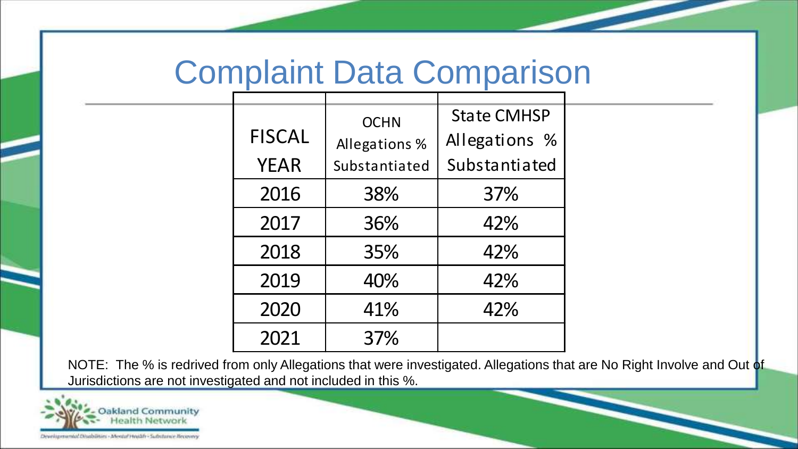#### Complaint Data Comparison

| <b>FISCAL</b><br><b>YEAR</b> | <b>OCHN</b><br>Allegations %<br>Substantiated | <b>State CMHSP</b><br>Allegations %<br>Substantiated |
|------------------------------|-----------------------------------------------|------------------------------------------------------|
| 2016                         | 38%                                           | 37%                                                  |
| 2017                         | 36%                                           | 42%                                                  |
| 2018                         | 35%                                           | 42%                                                  |
| 2019                         | 40%                                           | 42%                                                  |
| 2020                         | 41%                                           | 42%                                                  |
| 2021                         | 37%                                           |                                                      |

NOTE: The % is redrived from only Allegations that were investigated. Allegations that are No Right Involve and Out of Jurisdictions are not investigated and not included in this %.

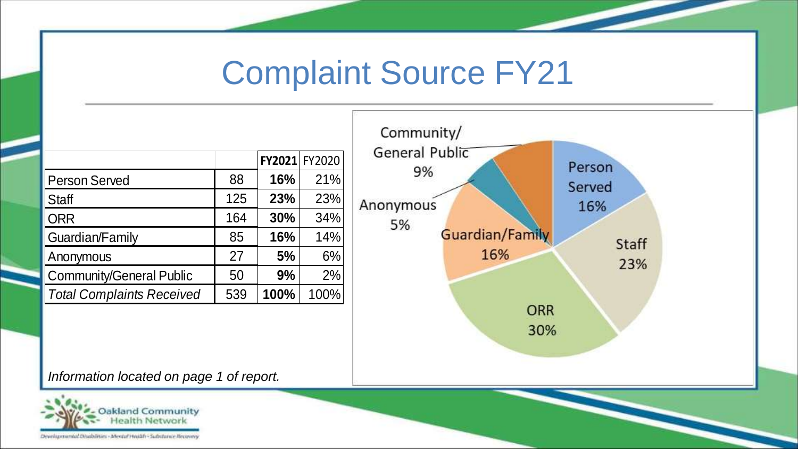#### Complaint Source FY21

|                                          |     | FY2021 | FY2020 |
|------------------------------------------|-----|--------|--------|
| <b>Person Served</b>                     | 88  | 16%    | 21%    |
| <b>Staff</b>                             | 125 | 23%    | 23%    |
| <b>ORR</b>                               | 164 | 30%    | 34%    |
| Guardian/Family                          | 85  | 16%    | 14%    |
| Anonymous                                | 27  | 5%     | 6%     |
| <b>Community/General Public</b>          | 50  | 9%     | 2%     |
| <b>Total Complaints Received</b>         | 539 | 100%   | 100%   |
|                                          |     |        |        |
|                                          |     |        |        |
| Information located on page 1 of report. |     |        |        |



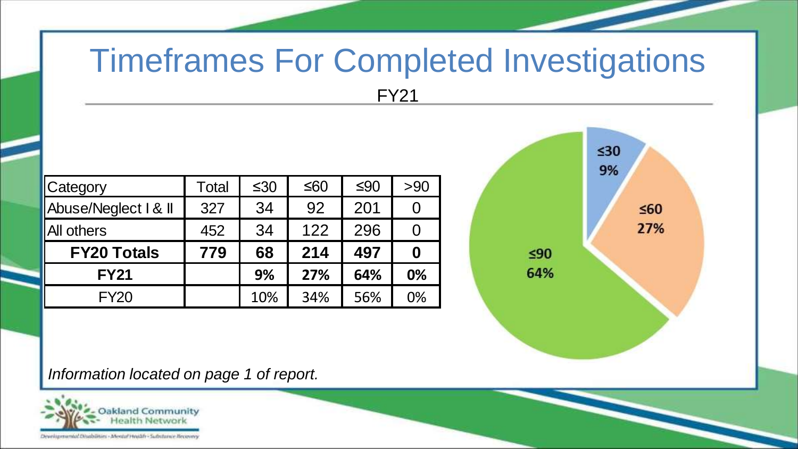# Timeframes For Completed Investigations

FY21

| Category                                 | Total | $≤30$ | $≤60$ | $≤90$ | >90              |
|------------------------------------------|-------|-------|-------|-------|------------------|
| Abuse/Neglect   & II                     | 327   | 34    | 92    | 201   | 0                |
| All others                               | 452   | 34    | 122   | 296   | 0                |
| <b>FY20 Totals</b>                       | 779   | 68    | 214   | 497   | $\boldsymbol{0}$ |
| <b>FY21</b>                              |       | 9%    | 27%   | 64%   | 0%               |
| <b>FY20</b>                              |       | 10%   | 34%   | 56%   | 0%               |
| Information located on page 1 of report. |       |       |       |       |                  |



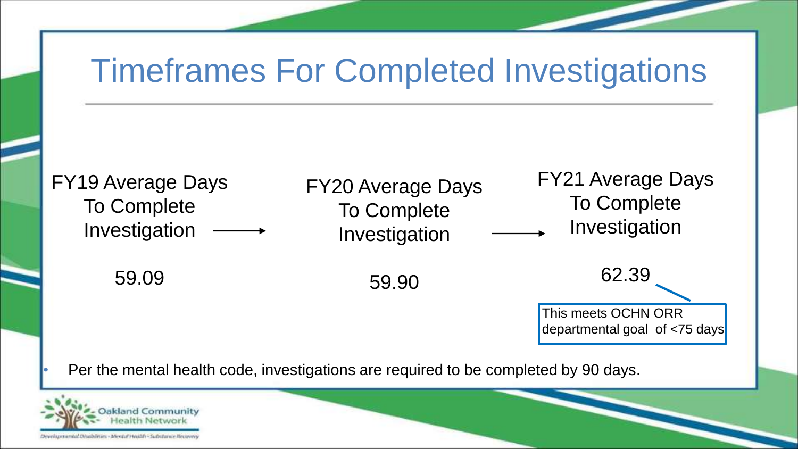## Timeframes For Completed Investigations



• Per the mental health code, investigations are required to be completed by 90 days.

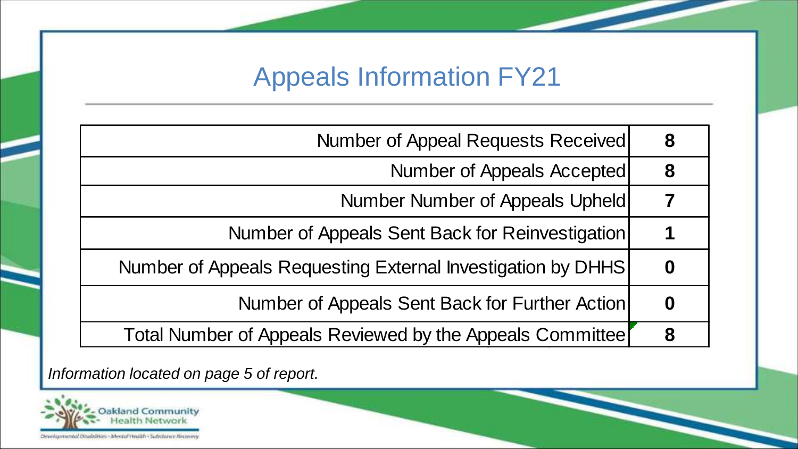#### Appeals Information FY21

|                                          | Number of Appeal Requests Received                          | 8 |
|------------------------------------------|-------------------------------------------------------------|---|
|                                          | Number of Appeals Accepted                                  | 8 |
|                                          | Number Number of Appeals Upheld                             |   |
|                                          | Number of Appeals Sent Back for Reinvestigation             | 1 |
|                                          | Number of Appeals Requesting External Investigation by DHHS | 0 |
|                                          | Number of Appeals Sent Back for Further Action              | 0 |
|                                          | Total Number of Appeals Reviewed by the Appeals Committee   | 8 |
| Information located on page 5 of report. |                                                             |   |

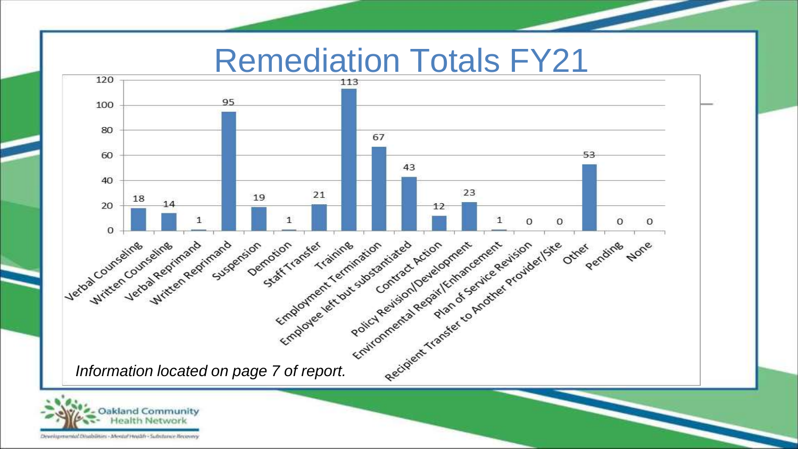#### Remediation Totals FY21





Developmental Disabilities - Mental Hotäfr - Substance Becove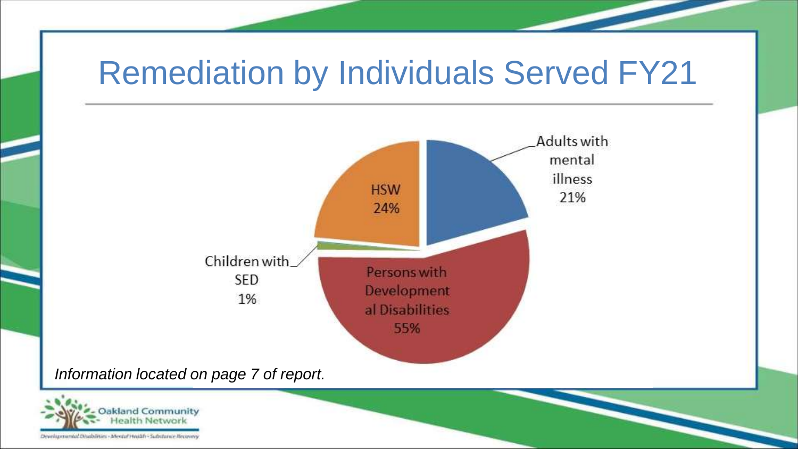## Remediation by Individuals Served FY21





Developmental Disabilities - Mentul Health - Substance Becover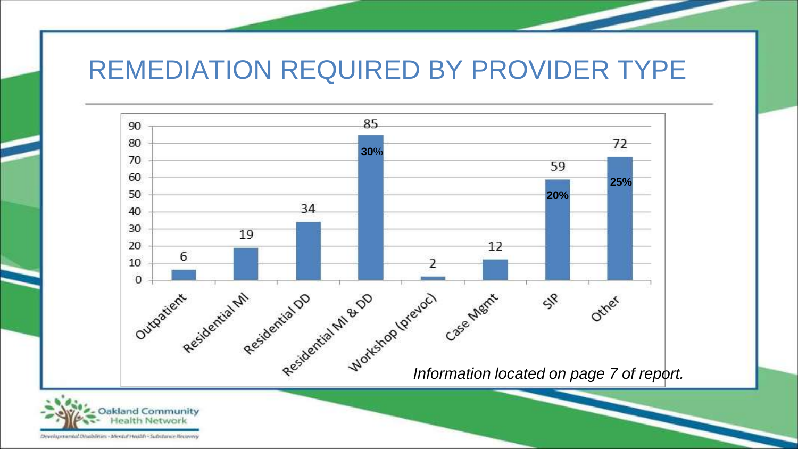#### REMEDIATION REQUIRED BY PROVIDER TYPE



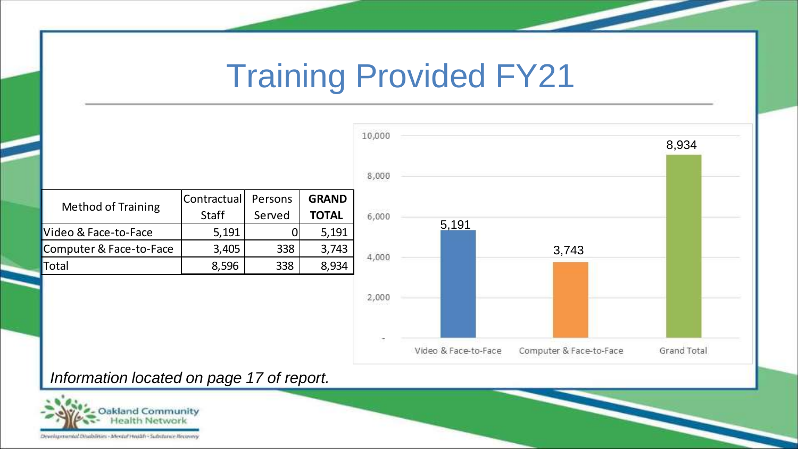### Training Provided FY21

|                           | Contractual | Persons | <b>GRAND</b> |
|---------------------------|-------------|---------|--------------|
| <b>Method of Training</b> | Staff       | Served  | <b>TOTAL</b> |
| Video & Face-to-Face      | 5,191       |         | 5,191        |
| Computer & Face-to-Face   | 3,405       | 338     | 3,743        |
| Total                     | 8,596       | 338     | 8,934        |



#### *Information located on page 17 of report.*



#### Developmental Disabilities - Mental Health - Substance Recovery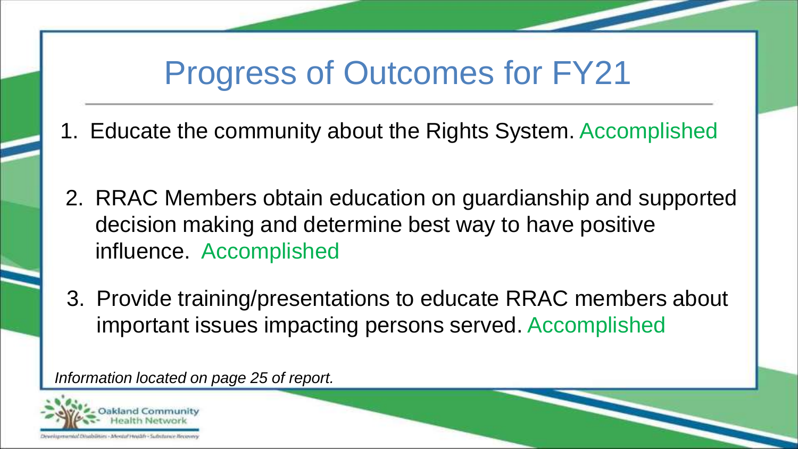### Progress of Outcomes for FY21

- 1. Educate the community about the Rights System. Accomplished
- 2. RRAC Members obtain education on guardianship and supported decision making and determine best way to have positive influence. Accomplished
- 3. Provide training/presentations to educate RRAC members about important issues impacting persons served. Accomplished

*Information located on page 25 of report.*

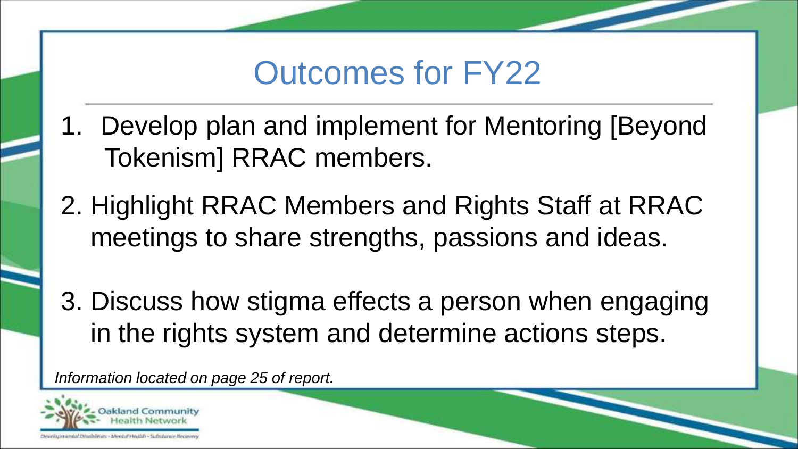#### Outcomes for FY22

- 1. Develop plan and implement for Mentoring [Beyond Tokenism] RRAC members.
- 2. Highlight RRAC Members and Rights Staff at RRAC meetings to share strengths, passions and ideas.
- 3. Discuss how stigma effects a person when engaging in the rights system and determine actions steps.

*Information located on page 25 of report.*

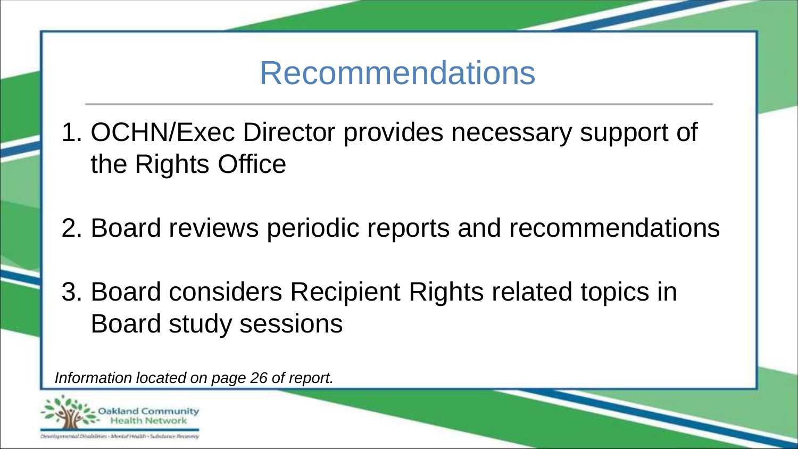#### Recommendations

- 1. OCHN/Exec Director provides necessary support of the Rights Office
- 2. Board reviews periodic reports and recommendations
- 3. Board considers Recipient Rights related topics in Board study sessions

*Information located on page 26 of report.*